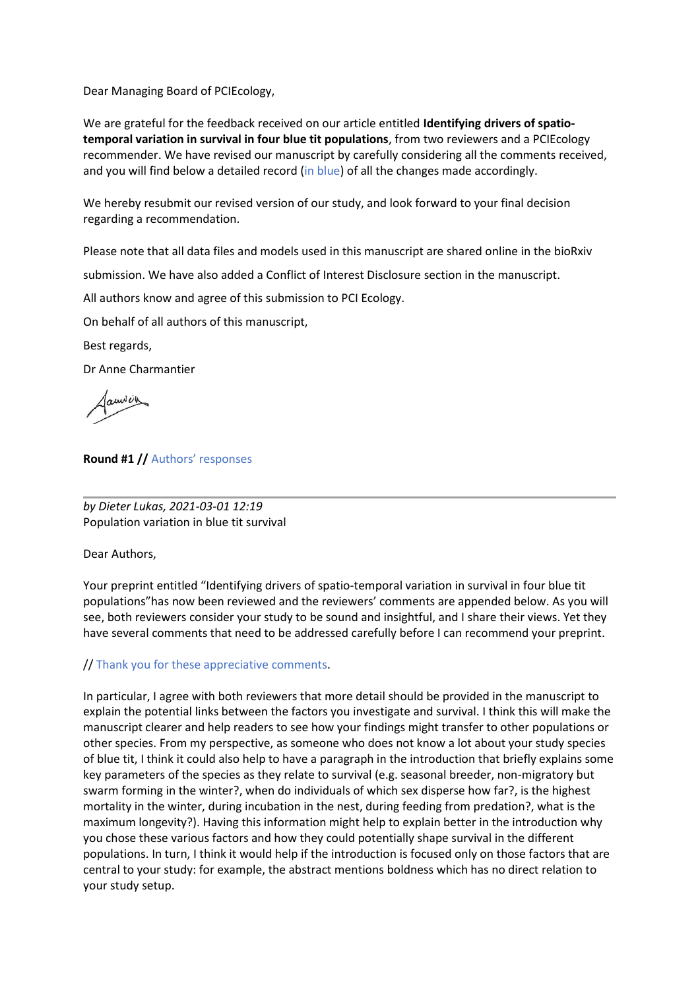Dear Managing Board of PCIEcology,

We are grateful for the feedback received on our article entitled **Identifying drivers of spatiotemporal variation in survival in four blue tit populations**, from two reviewers and a PCIEcology recommender. We have revised our manuscript by carefully considering all the comments received, and you will find below a detailed record (in blue) of all the changes made accordingly.

We hereby resubmit our revised version of our study, and look forward to your final decision regarding a recommendation.

Please note that all data files and models used in this manuscript are shared online in the bioRxiv

submission. We have also added a Conflict of Interest Disclosure section in the manuscript.

All authors know and agree of this submission to PCI Ecology.

On behalf of all authors of this manuscript,

Best regards,

Dr Anne Charmantier

**Round #1 //** Authors' responses

*by Dieter Lukas, 2021-03-01 12:19* Population variation in blue tit survival

Dear Authors,

Your preprint entitled "Identifying drivers of spatio-temporal variation in survival in four blue tit populations"has now been reviewed and the reviewers' comments are appended below. As you will see, both reviewers consider your study to be sound and insightful, and I share their views. Yet they have several comments that need to be addressed carefully before I can recommend your preprint.

# // Thank you for these appreciative comments.

In particular, I agree with both reviewers that more detail should be provided in the manuscript to explain the potential links between the factors you investigate and survival. I think this will make the manuscript clearer and help readers to see how your findings might transfer to other populations or other species. From my perspective, as someone who does not know a lot about your study species of blue tit, I think it could also help to have a paragraph in the introduction that briefly explains some key parameters of the species as they relate to survival (e.g. seasonal breeder, non-migratory but swarm forming in the winter?, when do individuals of which sex disperse how far?, is the highest mortality in the winter, during incubation in the nest, during feeding from predation?, what is the maximum longevity?). Having this information might help to explain better in the introduction why you chose these various factors and how they could potentially shape survival in the different populations. In turn, I think it would help if the introduction is focused only on those factors that are central to your study: for example, the abstract mentions boldness which has no direct relation to your study setup.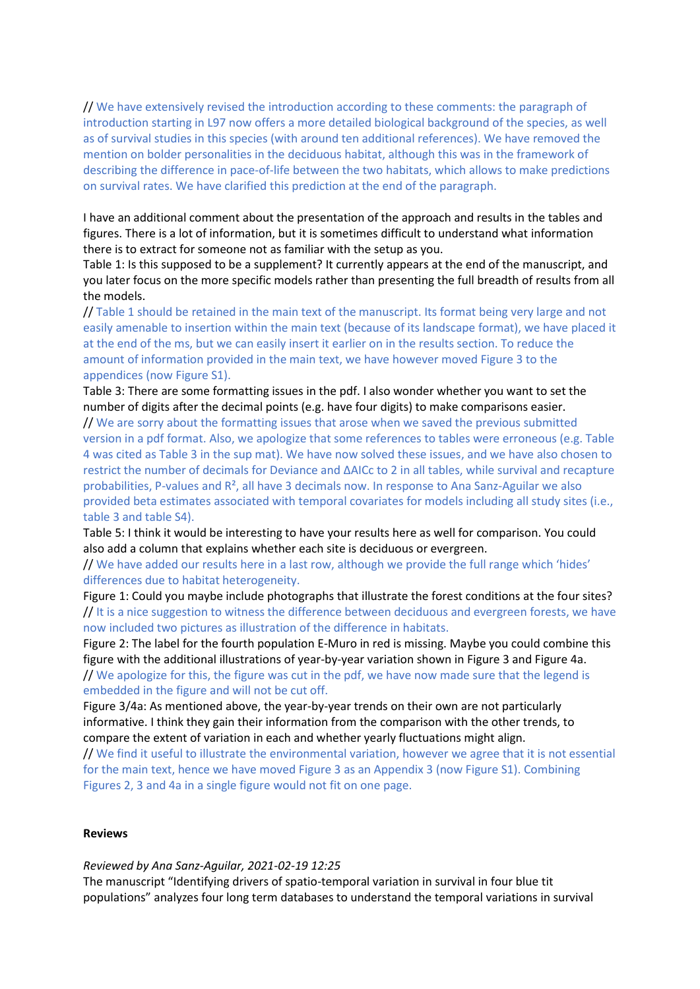// We have extensively revised the introduction according to these comments: the paragraph of introduction starting in L97 now offers a more detailed biological background of the species, as well as of survival studies in this species (with around ten additional references). We have removed the mention on bolder personalities in the deciduous habitat, although this was in the framework of describing the difference in pace-of-life between the two habitats, which allows to make predictions on survival rates. We have clarified this prediction at the end of the paragraph.

I have an additional comment about the presentation of the approach and results in the tables and figures. There is a lot of information, but it is sometimes difficult to understand what information there is to extract for someone not as familiar with the setup as you.

Table 1: Is this supposed to be a supplement? It currently appears at the end of the manuscript, and you later focus on the more specific models rather than presenting the full breadth of results from all the models.

// Table 1 should be retained in the main text of the manuscript. Its format being very large and not easily amenable to insertion within the main text (because of its landscape format), we have placed it at the end of the ms, but we can easily insert it earlier on in the results section. To reduce the amount of information provided in the main text, we have however moved Figure 3 to the appendices (now Figure S1).

Table 3: There are some formatting issues in the pdf. I also wonder whether you want to set the number of digits after the decimal points (e.g. have four digits) to make comparisons easier.

// We are sorry about the formatting issues that arose when we saved the previous submitted version in a pdf format. Also, we apologize that some references to tables were erroneous (e.g. Table 4 was cited as Table 3 in the sup mat). We have now solved these issues, and we have also chosen to restrict the number of decimals for Deviance and ΔAICc to 2 in all tables, while survival and recapture probabilities, P-values and  $R^2$ , all have 3 decimals now. In response to Ana Sanz-Aguilar we also provided beta estimates associated with temporal covariates for models including all study sites (i.e., table 3 and table S4).

Table 5: I think it would be interesting to have your results here as well for comparison. You could also add a column that explains whether each site is deciduous or evergreen.

// We have added our results here in a last row, although we provide the full range which 'hides' differences due to habitat heterogeneity.

Figure 1: Could you maybe include photographs that illustrate the forest conditions at the four sites? // It is a nice suggestion to witness the difference between deciduous and evergreen forests, we have now included two pictures as illustration of the difference in habitats.

Figure 2: The label for the fourth population E-Muro in red is missing. Maybe you could combine this figure with the additional illustrations of year-by-year variation shown in Figure 3 and Figure 4a. // We apologize for this, the figure was cut in the pdf, we have now made sure that the legend is embedded in the figure and will not be cut off.

Figure 3/4a: As mentioned above, the year-by-year trends on their own are not particularly informative. I think they gain their information from the comparison with the other trends, to compare the extent of variation in each and whether yearly fluctuations might align.

// We find it useful to illustrate the environmental variation, however we agree that it is not essential for the main text, hence we have moved Figure 3 as an Appendix 3 (now Figure S1). Combining Figures 2, 3 and 4a in a single figure would not fit on one page.

#### **Reviews**

#### *Reviewed by Ana Sanz-Aguilar, 2021-02-19 12:25*

The manuscript "Identifying drivers of spatio-temporal variation in survival in four blue tit populations" analyzes four long term databases to understand the temporal variations in survival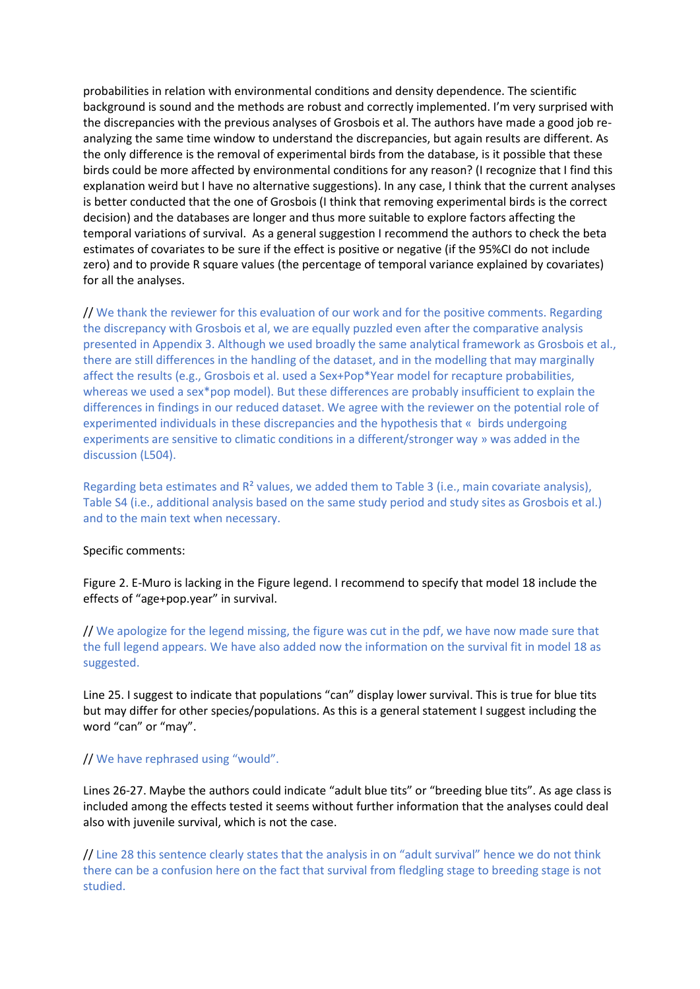probabilities in relation with environmental conditions and density dependence. The scientific background is sound and the methods are robust and correctly implemented. I'm very surprised with the discrepancies with the previous analyses of Grosbois et al. The authors have made a good job reanalyzing the same time window to understand the discrepancies, but again results are different. As the only difference is the removal of experimental birds from the database, is it possible that these birds could be more affected by environmental conditions for any reason? (I recognize that I find this explanation weird but I have no alternative suggestions). In any case, I think that the current analyses is better conducted that the one of Grosbois (I think that removing experimental birds is the correct decision) and the databases are longer and thus more suitable to explore factors affecting the temporal variations of survival. As a general suggestion I recommend the authors to check the beta estimates of covariates to be sure if the effect is positive or negative (if the 95%CI do not include zero) and to provide R square values (the percentage of temporal variance explained by covariates) for all the analyses.

// We thank the reviewer for this evaluation of our work and for the positive comments. Regarding the discrepancy with Grosbois et al, we are equally puzzled even after the comparative analysis presented in Appendix 3. Although we used broadly the same analytical framework as Grosbois et al., there are still differences in the handling of the dataset, and in the modelling that may marginally affect the results (e.g., Grosbois et al. used a Sex+Pop\*Year model for recapture probabilities, whereas we used a sex\*pop model). But these differences are probably insufficient to explain the differences in findings in our reduced dataset. We agree with the reviewer on the potential role of experimented individuals in these discrepancies and the hypothesis that « birds undergoing experiments are sensitive to climatic conditions in a different/stronger way » was added in the discussion (L504).

Regarding beta estimates and  $R<sup>2</sup>$  values, we added them to Table 3 (i.e., main covariate analysis), Table S4 (i.e., additional analysis based on the same study period and study sites as Grosbois et al.) and to the main text when necessary.

#### Specific comments:

Figure 2. E-Muro is lacking in the Figure legend. I recommend to specify that model 18 include the effects of "age+pop.year" in survival.

// We apologize for the legend missing, the figure was cut in the pdf, we have now made sure that the full legend appears. We have also added now the information on the survival fit in model 18 as suggested.

Line 25. I suggest to indicate that populations "can" display lower survival. This is true for blue tits but may differ for other species/populations. As this is a general statement I suggest including the word "can" or "may".

## // We have rephrased using "would".

Lines 26-27. Maybe the authors could indicate "adult blue tits" or "breeding blue tits". As age class is included among the effects tested it seems without further information that the analyses could deal also with juvenile survival, which is not the case.

// Line 28 this sentence clearly states that the analysis in on "adult survival" hence we do not think there can be a confusion here on the fact that survival from fledgling stage to breeding stage is not studied.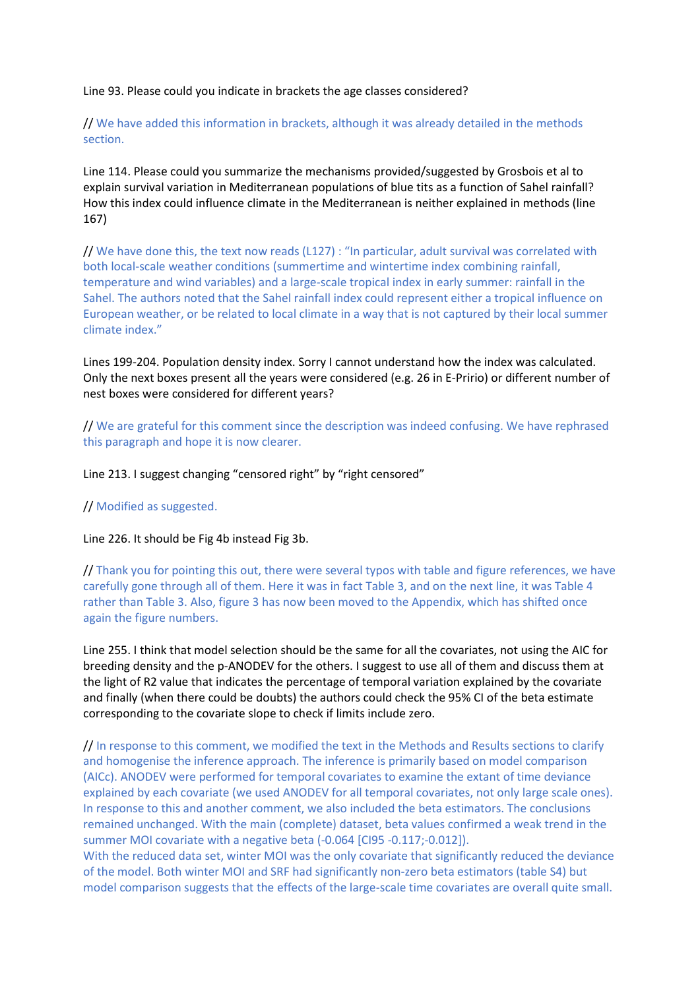### Line 93. Please could you indicate in brackets the age classes considered?

# // We have added this information in brackets, although it was already detailed in the methods section.

Line 114. Please could you summarize the mechanisms provided/suggested by Grosbois et al to explain survival variation in Mediterranean populations of blue tits as a function of Sahel rainfall? How this index could influence climate in the Mediterranean is neither explained in methods (line 167)

// We have done this, the text now reads (L127) : "In particular, adult survival was correlated with both local-scale weather conditions (summertime and wintertime index combining rainfall, temperature and wind variables) and a large-scale tropical index in early summer: rainfall in the Sahel. The authors noted that the Sahel rainfall index could represent either a tropical influence on European weather, or be related to local climate in a way that is not captured by their local summer climate index."

Lines 199-204. Population density index. Sorry I cannot understand how the index was calculated. Only the next boxes present all the years were considered (e.g. 26 in E-Pririo) or different number of nest boxes were considered for different years?

// We are grateful for this comment since the description was indeed confusing. We have rephrased this paragraph and hope it is now clearer.

Line 213. I suggest changing "censored right" by "right censored"

// Modified as suggested.

Line 226. It should be Fig 4b instead Fig 3b.

// Thank you for pointing this out, there were several typos with table and figure references, we have carefully gone through all of them. Here it was in fact Table 3, and on the next line, it was Table 4 rather than Table 3. Also, figure 3 has now been moved to the Appendix, which has shifted once again the figure numbers.

Line 255. I think that model selection should be the same for all the covariates, not using the AIC for breeding density and the p-ANODEV for the others. I suggest to use all of them and discuss them at the light of R2 value that indicates the percentage of temporal variation explained by the covariate and finally (when there could be doubts) the authors could check the 95% CI of the beta estimate corresponding to the covariate slope to check if limits include zero.

// In response to this comment, we modified the text in the Methods and Results sections to clarify and homogenise the inference approach. The inference is primarily based on model comparison (AICc). ANODEV were performed for temporal covariates to examine the extant of time deviance explained by each covariate (we used ANODEV for all temporal covariates, not only large scale ones). In response to this and another comment, we also included the beta estimators. The conclusions remained unchanged. With the main (complete) dataset, beta values confirmed a weak trend in the summer MOI covariate with a negative beta (-0.064 [CI95 -0.117;-0.012]).

With the reduced data set, winter MOI was the only covariate that significantly reduced the deviance of the model. Both winter MOI and SRF had significantly non-zero beta estimators (table S4) but model comparison suggests that the effects of the large-scale time covariates are overall quite small.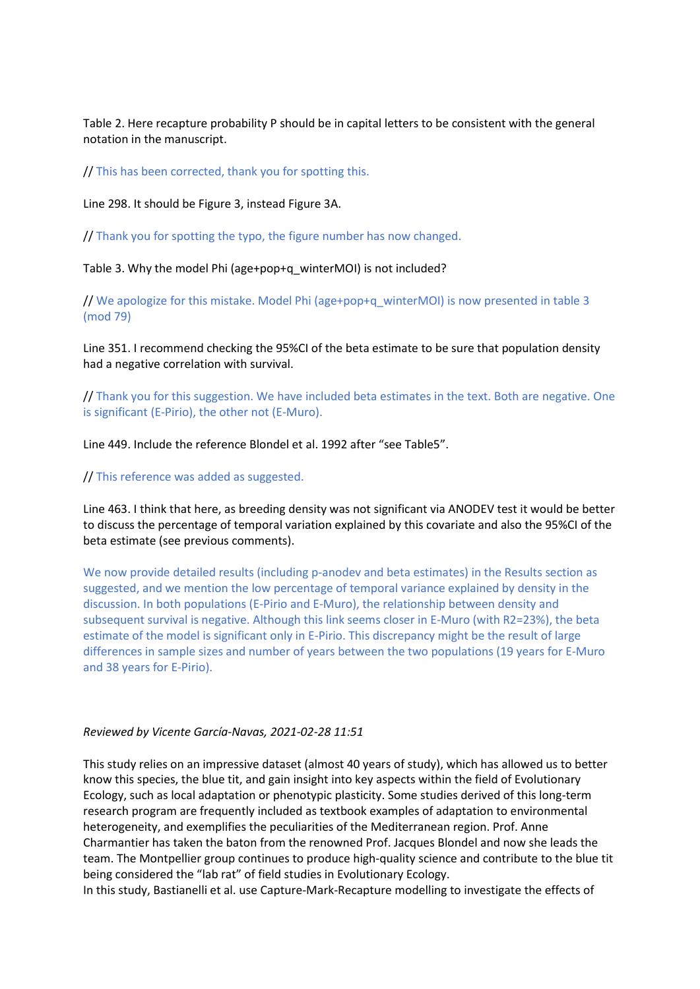Table 2. Here recapture probability P should be in capital letters to be consistent with the general notation in the manuscript.

// This has been corrected, thank you for spotting this.

Line 298. It should be Figure 3, instead Figure 3A.

// Thank you for spotting the typo, the figure number has now changed.

Table 3. Why the model Phi (age+pop+q\_winterMOI) is not included?

// We apologize for this mistake. Model Phi (age+pop+q\_winterMOI) is now presented in table 3 (mod 79)

Line 351. I recommend checking the 95%CI of the beta estimate to be sure that population density had a negative correlation with survival.

// Thank you for this suggestion. We have included beta estimates in the text. Both are negative. One is significant (E-Pirio), the other not (E-Muro).

Line 449. Include the reference Blondel et al. 1992 after "see Table5".

// This reference was added as suggested.

Line 463. I think that here, as breeding density was not significant via ANODEV test it would be better to discuss the percentage of temporal variation explained by this covariate and also the 95%CI of the beta estimate (see previous comments).

We now provide detailed results (including p-anodev and beta estimates) in the Results section as suggested, and we mention the low percentage of temporal variance explained by density in the discussion. In both populations (E-Pirio and E-Muro), the relationship between density and subsequent survival is negative. Although this link seems closer in E-Muro (with R2=23%), the beta estimate of the model is significant only in E-Pirio. This discrepancy might be the result of large differences in sample sizes and number of years between the two populations (19 years for E-Muro and 38 years for E-Pirio).

#### *Reviewed by Vicente García-Navas, 2021-02-28 11:51*

This study relies on an impressive dataset (almost 40 years of study), which has allowed us to better know this species, the blue tit, and gain insight into key aspects within the field of Evolutionary Ecology, such as local adaptation or phenotypic plasticity. Some studies derived of this long-term research program are frequently included as textbook examples of adaptation to environmental heterogeneity, and exemplifies the peculiarities of the Mediterranean region. Prof. Anne Charmantier has taken the baton from the renowned Prof. Jacques Blondel and now she leads the team. The Montpellier group continues to produce high-quality science and contribute to the blue tit being considered the "lab rat" of field studies in Evolutionary Ecology.

In this study, Bastianelli et al. use Capture-Mark-Recapture modelling to investigate the effects of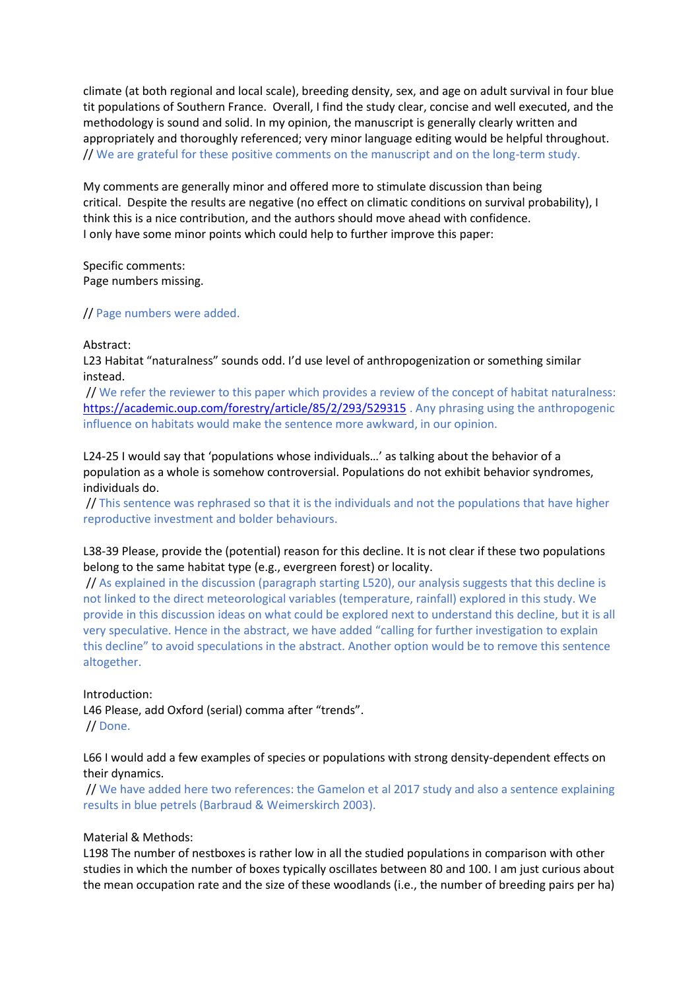climate (at both regional and local scale), breeding density, sex, and age on adult survival in four blue tit populations of Southern France. Overall, I find the study clear, concise and well executed, and the methodology is sound and solid. In my opinion, the manuscript is generally clearly written and appropriately and thoroughly referenced; very minor language editing would be helpful throughout. // We are grateful for these positive comments on the manuscript and on the long-term study.

My comments are generally minor and offered more to stimulate discussion than being critical. Despite the results are negative (no effect on climatic conditions on survival probability), I think this is a nice contribution, and the authors should move ahead with confidence. I only have some minor points which could help to further improve this paper:

Specific comments: Page numbers missing.

// Page numbers were added.

#### Abstract:

L23 Habitat "naturalness" sounds odd. I'd use level of anthropogenization or something similar instead.

// We refer the reviewer to this paper which provides a review of the concept of habitat naturalness: <https://academic.oup.com/forestry/article/85/2/293/529315> . Any phrasing using the anthropogenic influence on habitats would make the sentence more awkward, in our opinion.

L24-25 I would say that 'populations whose individuals…' as talking about the behavior of a population as a whole is somehow controversial. Populations do not exhibit behavior syndromes, individuals do.

// This sentence was rephrased so that it is the individuals and not the populations that have higher reproductive investment and bolder behaviours.

## L38-39 Please, provide the (potential) reason for this decline. It is not clear if these two populations belong to the same habitat type (e.g., evergreen forest) or locality.

// As explained in the discussion (paragraph starting L520), our analysis suggests that this decline is not linked to the direct meteorological variables (temperature, rainfall) explored in this study. We provide in this discussion ideas on what could be explored next to understand this decline, but it is all very speculative. Hence in the abstract, we have added "calling for further investigation to explain this decline" to avoid speculations in the abstract. Another option would be to remove this sentence altogether.

Introduction:

L46 Please, add Oxford (serial) comma after "trends". // Done.

## L66 I would add a few examples of species or populations with strong density-dependent effects on their dynamics.

// We have added here two references: the Gamelon et al 2017 study and also a sentence explaining results in blue petrels (Barbraud & Weimerskirch 2003).

## Material & Methods:

L198 The number of nestboxes is rather low in all the studied populations in comparison with other studies in which the number of boxes typically oscillates between 80 and 100. I am just curious about the mean occupation rate and the size of these woodlands (i.e., the number of breeding pairs per ha)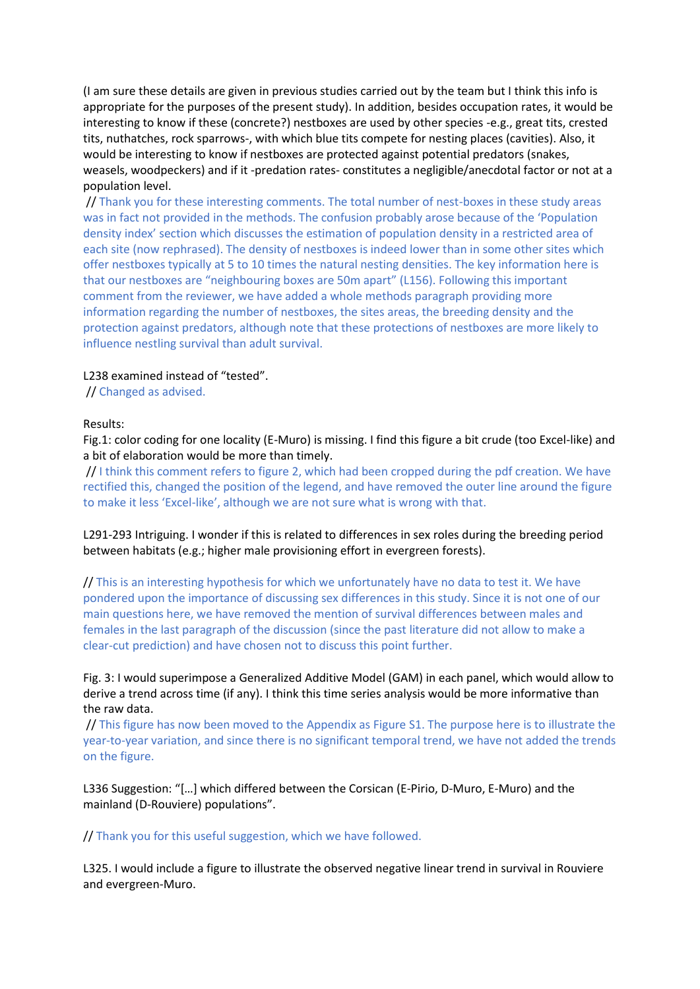(I am sure these details are given in previous studies carried out by the team but I think this info is appropriate for the purposes of the present study). In addition, besides occupation rates, it would be interesting to know if these (concrete?) nestboxes are used by other species -e.g., great tits, crested tits, nuthatches, rock sparrows-, with which blue tits compete for nesting places (cavities). Also, it would be interesting to know if nestboxes are protected against potential predators (snakes, weasels, woodpeckers) and if it -predation rates- constitutes a negligible/anecdotal factor or not at a population level.

// Thank you for these interesting comments. The total number of nest-boxes in these study areas was in fact not provided in the methods. The confusion probably arose because of the 'Population density index' section which discusses the estimation of population density in a restricted area of each site (now rephrased). The density of nestboxes is indeed lower than in some other sites which offer nestboxes typically at 5 to 10 times the natural nesting densities. The key information here is that our nestboxes are "neighbouring boxes are 50m apart" (L156). Following this important comment from the reviewer, we have added a whole methods paragraph providing more information regarding the number of nestboxes, the sites areas, the breeding density and the protection against predators, although note that these protections of nestboxes are more likely to influence nestling survival than adult survival.

L238 examined instead of "tested".

// Changed as advised.

#### Results:

Fig.1: color coding for one locality (E-Muro) is missing. I find this figure a bit crude (too Excel-like) and a bit of elaboration would be more than timely.

// I think this comment refers to figure 2, which had been cropped during the pdf creation. We have rectified this, changed the position of the legend, and have removed the outer line around the figure to make it less 'Excel-like', although we are not sure what is wrong with that.

L291-293 Intriguing. I wonder if this is related to differences in sex roles during the breeding period between habitats (e.g.; higher male provisioning effort in evergreen forests).

// This is an interesting hypothesis for which we unfortunately have no data to test it. We have pondered upon the importance of discussing sex differences in this study. Since it is not one of our main questions here, we have removed the mention of survival differences between males and females in the last paragraph of the discussion (since the past literature did not allow to make a clear-cut prediction) and have chosen not to discuss this point further.

Fig. 3: I would superimpose a Generalized Additive Model (GAM) in each panel, which would allow to derive a trend across time (if any). I think this time series analysis would be more informative than the raw data.

// This figure has now been moved to the Appendix as Figure S1. The purpose here is to illustrate the year-to-year variation, and since there is no significant temporal trend, we have not added the trends on the figure.

L336 Suggestion: "[…] which differed between the Corsican (E-Pirio, D-Muro, E-Muro) and the mainland (D-Rouviere) populations".

// Thank you for this useful suggestion, which we have followed.

L325. I would include a figure to illustrate the observed negative linear trend in survival in Rouviere and evergreen-Muro.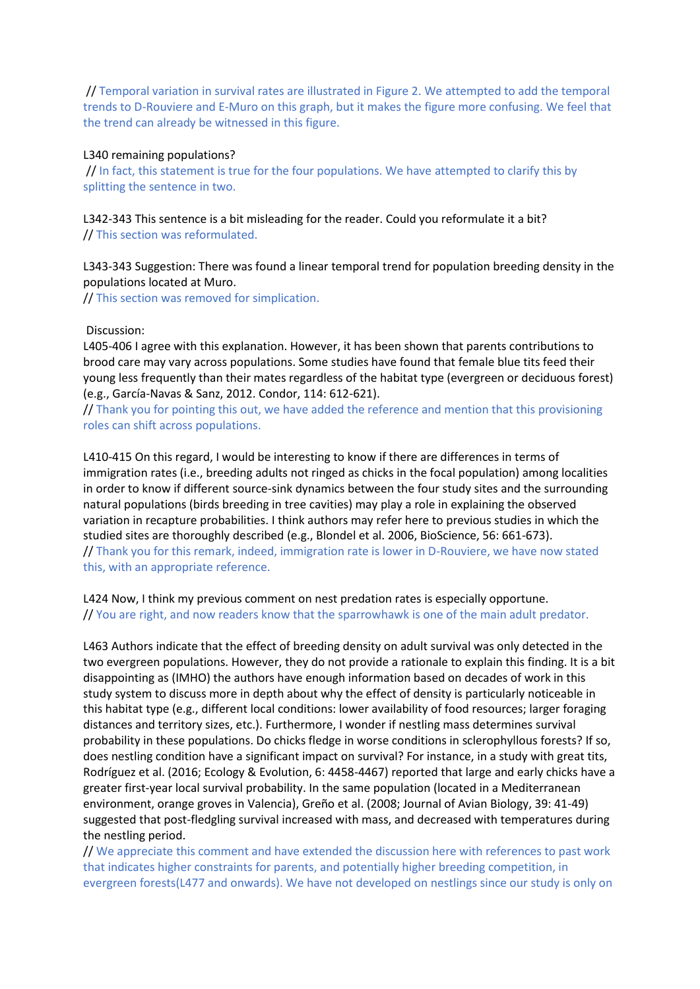// Temporal variation in survival rates are illustrated in Figure 2. We attempted to add the temporal trends to D-Rouviere and E-Muro on this graph, but it makes the figure more confusing. We feel that the trend can already be witnessed in this figure.

### L340 remaining populations?

// In fact, this statement is true for the four populations. We have attempted to clarify this by splitting the sentence in two.

L342-343 This sentence is a bit misleading for the reader. Could you reformulate it a bit? // This section was reformulated.

L343-343 Suggestion: There was found a linear temporal trend for population breeding density in the populations located at Muro.

// This section was removed for simplication.

#### Discussion:

L405-406 I agree with this explanation. However, it has been shown that parents contributions to brood care may vary across populations. Some studies have found that female blue tits feed their young less frequently than their mates regardless of the habitat type (evergreen or deciduous forest) (e.g., García-Navas & Sanz, 2012. Condor, 114: 612-621).

// Thank you for pointing this out, we have added the reference and mention that this provisioning roles can shift across populations.

L410-415 On this regard, I would be interesting to know if there are differences in terms of immigration rates (i.e., breeding adults not ringed as chicks in the focal population) among localities in order to know if different source-sink dynamics between the four study sites and the surrounding natural populations (birds breeding in tree cavities) may play a role in explaining the observed variation in recapture probabilities. I think authors may refer here to previous studies in which the studied sites are thoroughly described (e.g., Blondel et al. 2006, BioScience, 56: 661-673). // Thank you for this remark, indeed, immigration rate is lower in D-Rouviere, we have now stated this, with an appropriate reference.

L424 Now, I think my previous comment on nest predation rates is especially opportune. // You are right, and now readers know that the sparrowhawk is one of the main adult predator.

L463 Authors indicate that the effect of breeding density on adult survival was only detected in the two evergreen populations. However, they do not provide a rationale to explain this finding. It is a bit disappointing as (IMHO) the authors have enough information based on decades of work in this study system to discuss more in depth about why the effect of density is particularly noticeable in this habitat type (e.g., different local conditions: lower availability of food resources; larger foraging distances and territory sizes, etc.). Furthermore, I wonder if nestling mass determines survival probability in these populations. Do chicks fledge in worse conditions in sclerophyllous forests? If so, does nestling condition have a significant impact on survival? For instance, in a study with great tits, Rodríguez et al. (2016; Ecology & Evolution, 6: 4458-4467) reported that large and early chicks have a greater first-year local survival probability. In the same population (located in a Mediterranean environment, orange groves in Valencia), Greño et al. (2008; Journal of Avian Biology, 39: 41-49) suggested that post-fledgling survival increased with mass, and decreased with temperatures during the nestling period.

// We appreciate this comment and have extended the discussion here with references to past work that indicates higher constraints for parents, and potentially higher breeding competition, in evergreen forests(L477 and onwards). We have not developed on nestlings since our study is only on